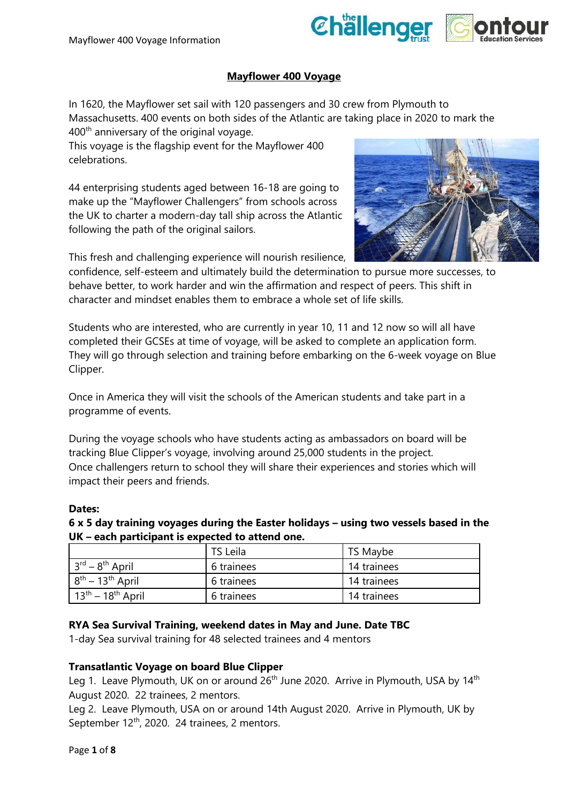

## **Mayflower 400 Voyage**

In 1620, the Mayflower set sail with 120 passengers and 30 crew from Plymouth to Massachusetts. 400 events on both sides of the Atlantic are taking place in 2020 to mark the 400th anniversary of the original voyage.

This voyage is the flagship event for the Mayflower 400 celebrations.

44 enterprising students aged between 16-18 are going to make up the "Mayflower Challengers" from schools across the UK to charter a modern-day tall ship across the Atlantic following the path of the original sailors.



This fresh and challenging experience will nourish resilience,

confidence, self-esteem and ultimately build the determination to pursue more successes, to behave better, to work harder and win the affirmation and respect of peers. This shift in character and mindset enables them to embrace a whole set of life skills.

Students who are interested, who are currently in year 10, 11 and 12 now so will all have completed their GCSEs at time of voyage, will be asked to complete an application form. They will go through selection and training before embarking on the 6-week voyage on Blue Clipper.

Once in America they will visit the schools of the American students and take part in a programme of events.

During the voyage schools who have students acting as ambassadors on board will be tracking Blue Clipper's voyage, involving around 25,000 students in the project. Once challengers return to school they will share their experiences and stories which will impact their peers and friends.

## **Dates:**

**6 x 5 day training voyages during the Easter holidays – using two vessels based in the UK – each participant is expected to attend one.** 

|                                       | TS Leila   | TS Maybe    |
|---------------------------------------|------------|-------------|
| $3^{\text{rd}} - 8^{\text{th}}$ April | 6 trainees | 14 trainees |
| $8^{th}$ – 13 <sup>th</sup> April     | 6 trainees | 14 trainees |
| $13th - 18th$ April                   | 6 trainees | 14 trainees |

#### **RYA Sea Survival Training, weekend dates in May and June. Date TBC**

1-day Sea survival training for 48 selected trainees and 4 mentors

## **Transatlantic Voyage on board Blue Clipper**

Leg 1. Leave Plymouth, UK on or around  $26<sup>th</sup>$  June 2020. Arrive in Plymouth, USA by 14<sup>th</sup> August 2020. 22 trainees, 2 mentors.

Leg 2. Leave Plymouth, USA on or around 14th August 2020. Arrive in Plymouth, UK by September 12<sup>th</sup>, 2020. 24 trainees, 2 mentors.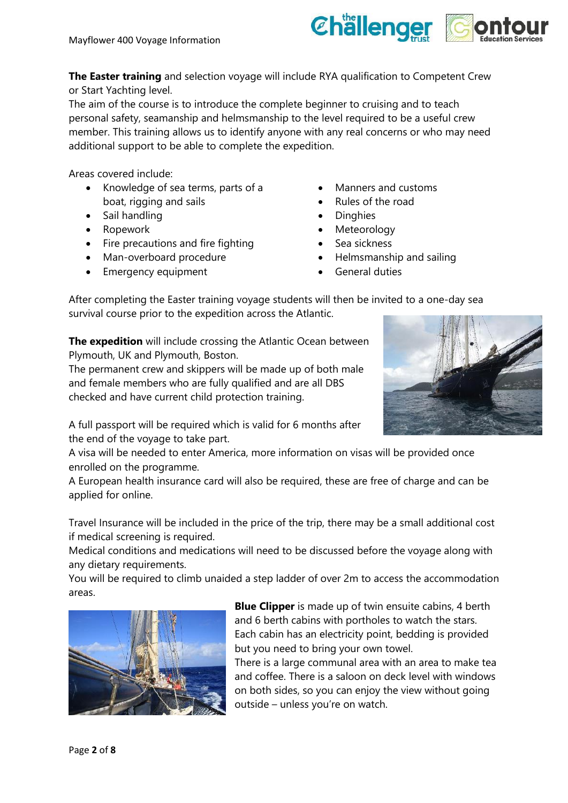

**The Easter training** and selection voyage will include RYA qualification to Competent Crew or Start Yachting level.

The aim of the course is to introduce the complete beginner to cruising and to teach personal safety, seamanship and helmsmanship to the level required to be a useful crew member. This training allows us to identify anyone with any real concerns or who may need additional support to be able to complete the expedition.

Areas covered include:

- Knowledge of sea terms, parts of a boat, rigging and sails
- Sail handling
- Ropework
- Fire precautions and fire fighting
- Man-overboard procedure
- Emergency equipment
- Manners and customs
- Rules of the road
- **Dinghies**
- **Meteorology**
- Sea sickness
- Helmsmanship and sailing
- General duties

After completing the Easter training voyage students will then be invited to a one-day sea survival course prior to the expedition across the Atlantic.

**The expedition** will include crossing the Atlantic Ocean between Plymouth, UK and Plymouth, Boston.

The permanent crew and skippers will be made up of both male and female members who are fully qualified and are all DBS checked and have current child protection training.



A full passport will be required which is valid for 6 months after the end of the voyage to take part.

A visa will be needed to enter America, more information on visas will be provided once enrolled on the programme.

A European health insurance card will also be required, these are free of charge and can be applied for online.

Travel Insurance will be included in the price of the trip, there may be a small additional cost if medical screening is required.

Medical conditions and medications will need to be discussed before the voyage along with any dietary requirements.

You will be required to climb unaided a step ladder of over 2m to access the accommodation areas.



**Blue Clipper** is made up of twin ensuite cabins, 4 berth and 6 berth cabins with portholes to watch the stars. Each cabin has an electricity point, bedding is provided but you need to bring your own towel.

There is a large communal area with an area to make tea and coffee. There is a saloon on deck level with windows on both sides, so you can enjoy the view without going outside – unless you're on watch.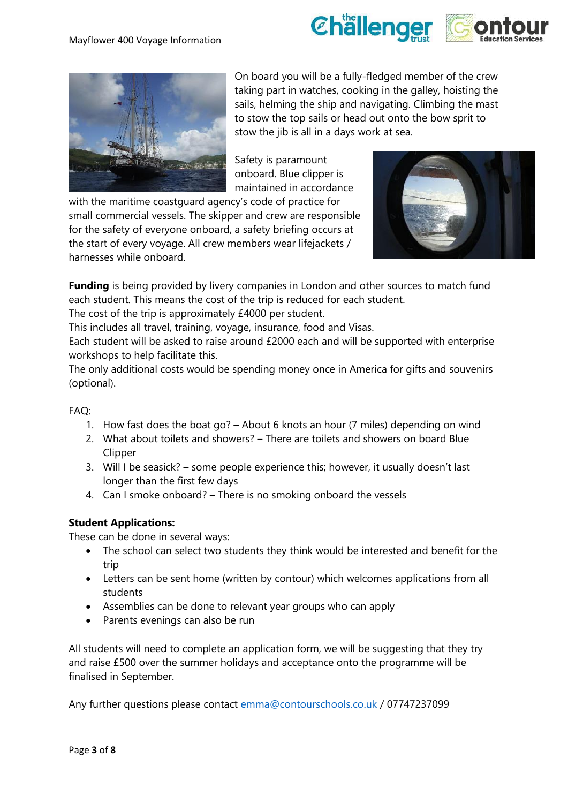



On board you will be a fully-fledged member of the crew taking part in watches, cooking in the galley, hoisting the sails, helming the ship and navigating. Climbing the mast to stow the top sails or head out onto the bow sprit to stow the jib is all in a days work at sea.

Safety is paramount onboard. Blue clipper is maintained in accordance

with the maritime coastguard agency's code of practice for small commercial vessels. The skipper and crew are responsible for the safety of everyone onboard, a safety briefing occurs at the start of every voyage. All crew members wear lifejackets / harnesses while onboard.



**Funding** is being provided by livery companies in London and other sources to match fund each student. This means the cost of the trip is reduced for each student.

The cost of the trip is approximately £4000 per student.

This includes all travel, training, voyage, insurance, food and Visas.

Each student will be asked to raise around £2000 each and will be supported with enterprise workshops to help facilitate this.

The only additional costs would be spending money once in America for gifts and souvenirs (optional).

## FAQ:

- 1. How fast does the boat go? About 6 knots an hour (7 miles) depending on wind
- 2. What about toilets and showers? There are toilets and showers on board Blue Clipper
- 3. Will I be seasick? some people experience this; however, it usually doesn't last longer than the first few days
- 4. Can I smoke onboard? There is no smoking onboard the vessels

## **Student Applications:**

These can be done in several ways:

- The school can select two students they think would be interested and benefit for the trip
- Letters can be sent home (written by contour) which welcomes applications from all students
- Assemblies can be done to relevant year groups who can apply
- Parents evenings can also be run

All students will need to complete an application form, we will be suggesting that they try and raise £500 over the summer holidays and acceptance onto the programme will be finalised in September.

Any further questions please contact [emma@contourschools.co.uk](mailto:emma@contourschools.co.uk) / 07747237099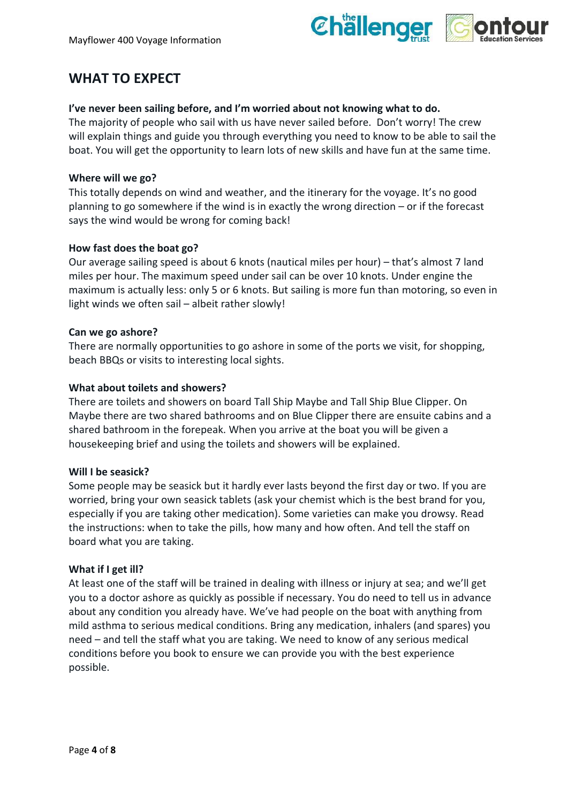

# **WHAT TO EXPECT**

#### **I've never been sailing before, and I'm worried about not knowing what to do.**

The majority of people who sail with us have never sailed before. Don't worry! The crew will explain things and guide you through everything you need to know to be able to sail the boat. You will get the opportunity to learn lots of new skills and have fun at the same time.

#### **Where will we go?**

This totally depends on wind and weather, and the itinerary for the voyage. It's no good planning to go somewhere if the wind is in exactly the wrong direction – or if the forecast says the wind would be wrong for coming back!

## **How fast does the boat go?**

Our average sailing speed is about 6 knots (nautical miles per hour) – that's almost 7 land miles per hour. The maximum speed under sail can be over 10 knots. Under engine the maximum is actually less: only 5 or 6 knots. But sailing is more fun than motoring, so even in light winds we often sail – albeit rather slowly!

#### **Can we go ashore?**

There are normally opportunities to go ashore in some of the ports we visit, for shopping, beach BBQs or visits to interesting local sights.

#### **What about toilets and showers?**

There are toilets and showers on board Tall Ship Maybe and Tall Ship Blue Clipper. On Maybe there are two shared bathrooms and on Blue Clipper there are ensuite cabins and a shared bathroom in the forepeak. When you arrive at the boat you will be given a housekeeping brief and using the toilets and showers will be explained.

#### **Will I be seasick?**

Some people may be seasick but it hardly ever lasts beyond the first day or two. If you are worried, bring your own seasick tablets (ask your chemist which is the best brand for you, especially if you are taking other medication). Some varieties can make you drowsy. Read the instructions: when to take the pills, how many and how often. And tell the staff on board what you are taking.

#### **What if I get ill?**

At least one of the staff will be trained in dealing with illness or injury at sea; and we'll get you to a doctor ashore as quickly as possible if necessary. You do need to tell us in advance about any condition you already have. We've had people on the boat with anything from mild asthma to serious medical conditions. Bring any medication, inhalers (and spares) you need – and tell the staff what you are taking. We need to know of any serious medical conditions before you book to ensure we can provide you with the best experience possible.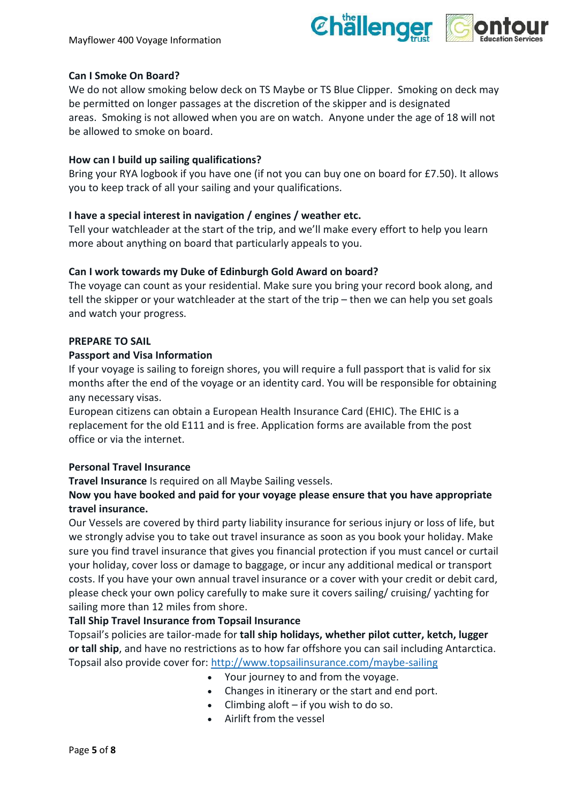

# **Can I Smoke On Board?**

We do not allow smoking below deck on TS Maybe or TS Blue Clipper. Smoking on deck may be permitted on longer passages at the discretion of the skipper and is designated areas. Smoking is not allowed when you are on watch. Anyone under the age of 18 will not be allowed to smoke on board.

## **How can I build up sailing qualifications?**

Bring your RYA logbook if you have one (if not you can buy one on board for £7.50). It allows you to keep track of all your sailing and your qualifications.

# **I have a special interest in navigation / engines / weather etc.**

Tell your watchleader at the start of the trip, and we'll make every effort to help you learn more about anything on board that particularly appeals to you.

## **Can I work towards my Duke of Edinburgh Gold Award on board?**

The voyage can count as your residential. Make sure you bring your record book along, and tell the skipper or your watchleader at the start of the trip – then we can help you set goals and watch your progress.

## **PREPARE TO SAIL**

## **Passport and Visa Information**

If your voyage is sailing to foreign shores, you will require a full passport that is valid for six months after the end of the voyage or an identity card. You will be responsible for obtaining any necessary visas.

European citizens can obtain a European Health Insurance Card (EHIC). The EHIC is a replacement for the old E111 and is free. Application forms are available from the post office or via the internet.

## **Personal Travel Insurance**

**Travel Insurance** Is required on all Maybe Sailing vessels.

# **Now you have booked and paid for your voyage please ensure that you have appropriate travel insurance.**

Our Vessels are covered by third party liability insurance for serious injury or loss of life, but we strongly advise you to take out travel insurance as soon as you book your holiday. Make sure you find travel insurance that gives you financial protection if you must cancel or curtail your holiday, cover loss or damage to baggage, or incur any additional medical or transport costs. If you have your own annual travel insurance or a cover with your credit or debit card, please check your own policy carefully to make sure it covers sailing/ cruising/ yachting for sailing more than 12 miles from shore.

## **Tall Ship Travel Insurance from Topsail Insurance**

Topsail's policies are tailor-made for **tall ship holidays, whether pilot cutter, ketch, lugger or tall ship**, and have no restrictions as to how far offshore you can sail including Antarctica. Topsail also provide cover for:<http://www.topsailinsurance.com/maybe-sailing>

- Your journey to and from the voyage.
- Changes in itinerary or the start and end port.
- $\bullet$  Climbing aloft if you wish to do so.
- Airlift from the vessel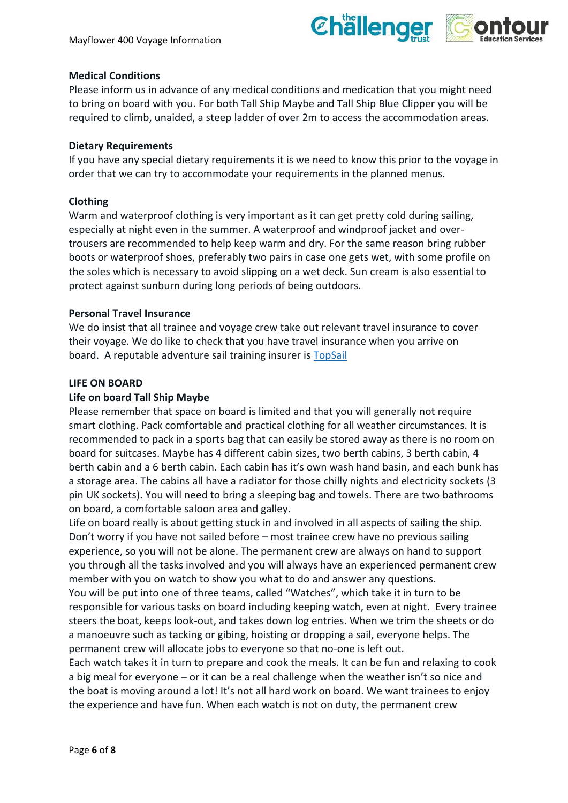

## **Medical Conditions**

Please inform us in advance of any medical conditions and medication that you might need to bring on board with you. For both Tall Ship Maybe and Tall Ship Blue Clipper you will be required to climb, unaided, a steep ladder of over 2m to access the accommodation areas.

## **Dietary Requirements**

If you have any special dietary requirements it is we need to know this prior to the voyage in order that we can try to accommodate your requirements in the planned menus.

# **Clothing**

Warm and waterproof clothing is very important as it can get pretty cold during sailing, especially at night even in the summer. A waterproof and windproof jacket and overtrousers are recommended to help keep warm and dry. For the same reason bring rubber boots or waterproof shoes, preferably two pairs in case one gets wet, with some profile on the soles which is necessary to avoid slipping on a wet deck. Sun cream is also essential to protect against sunburn during long periods of being outdoors.

# **Personal Travel Insurance**

We do insist that all trainee and voyage crew take out relevant travel insurance to cover their voyage. We do like to check that you have travel insurance when you arrive on board. A reputable adventure sail training insurer is [TopSail](http://www.topsailinsurance.com/maybe-sailing)

# **LIFE ON BOARD**

# **Life on board Tall Ship Maybe**

Please remember that space on board is limited and that you will generally not require smart clothing. Pack comfortable and practical clothing for all weather circumstances. It is recommended to pack in a sports bag that can easily be stored away as there is no room on board for suitcases. Maybe has 4 different cabin sizes, two berth cabins, 3 berth cabin, 4 berth cabin and a 6 berth cabin. Each cabin has it's own wash hand basin, and each bunk has a storage area. The cabins all have a radiator for those chilly nights and electricity sockets (3 pin UK sockets). You will need to bring a sleeping bag and towels. There are two bathrooms on board, a comfortable saloon area and galley.

Life on board really is about getting stuck in and involved in all aspects of sailing the ship. Don't worry if you have not sailed before – most trainee crew have no previous sailing experience, so you will not be alone. The permanent crew are always on hand to support you through all the tasks involved and you will always have an experienced permanent crew member with you on watch to show you what to do and answer any questions.

You will be put into one of three teams, called "Watches", which take it in turn to be responsible for various tasks on board including keeping watch, even at night. Every trainee steers the boat, keeps look-out, and takes down log entries. When we trim the sheets or do a manoeuvre such as tacking or gibing, hoisting or dropping a sail, everyone helps. The permanent crew will allocate jobs to everyone so that no-one is left out.

Each watch takes it in turn to prepare and cook the meals. It can be fun and relaxing to cook a big meal for everyone – or it can be a real challenge when the weather isn't so nice and the boat is moving around a lot! It's not all hard work on board. We want trainees to enjoy the experience and have fun. When each watch is not on duty, the permanent crew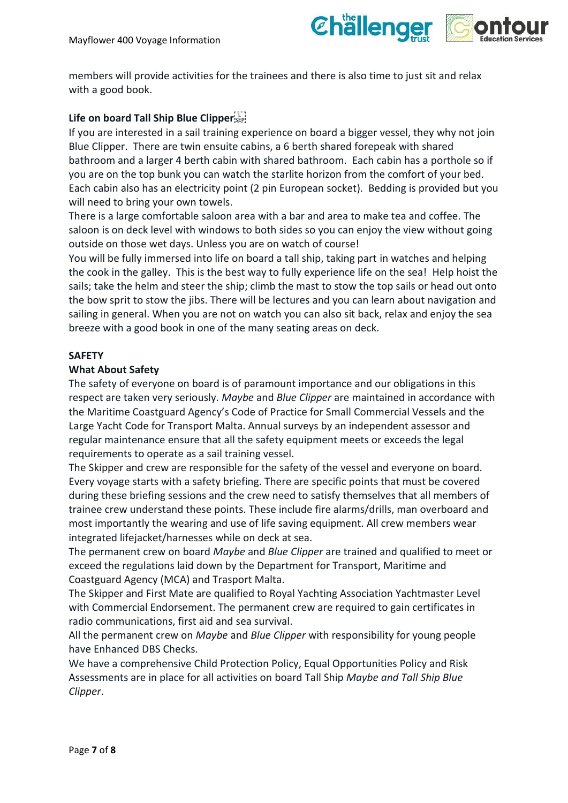

members will provide activities for the trainees and there is also time to just sit and relax with a good book.

# **Life on board Tall Ship Blue Clipper**

If you are interested in a sail training experience on board a bigger vessel, they why not join Blue Clipper. There are twin ensuite cabins, a 6 berth shared forepeak with shared bathroom and a larger 4 berth cabin with shared bathroom. Each cabin has a porthole so if you are on the top bunk you can watch the starlite horizon from the comfort of your bed. Each cabin also has an electricity point (2 pin European socket). Bedding is provided but you will need to bring your own towels.

There is a large comfortable saloon area with a bar and area to make tea and coffee. The saloon is on deck level with windows to both sides so you can enjoy the view without going outside on those wet days. Unless you are on watch of course!

You will be fully immersed into life on board a tall ship, taking part in watches and helping the cook in the galley. This is the best way to fully experience life on the sea! Help hoist the sails; take the helm and steer the ship; climb the mast to stow the top sails or head out onto the bow sprit to stow the jibs. There will be lectures and you can learn about navigation and sailing in general. When you are not on watch you can also sit back, relax and enjoy the sea breeze with a good book in one of the many seating areas on deck.

#### **SAFETY**

#### **What About Safety**

The safety of everyone on board is of paramount importance and our obligations in this respect are taken very seriously. *Maybe* and *Blue Clipper* are maintained in accordance with the Maritime Coastguard Agency's Code of Practice for Small Commercial Vessels and the Large Yacht Code for Transport Malta. Annual surveys by an independent assessor and regular maintenance ensure that all the safety equipment meets or exceeds the legal requirements to operate as a sail training vessel.

The Skipper and crew are responsible for the safety of the vessel and everyone on board. Every voyage starts with a safety briefing. There are specific points that must be covered during these briefing sessions and the crew need to satisfy themselves that all members of trainee crew understand these points. These include fire alarms/drills, man overboard and most importantly the wearing and use of life saving equipment. All crew members wear integrated lifejacket/harnesses while on deck at sea.

The permanent crew on board *Maybe* and *Blue Clipper* are trained and qualified to meet or exceed the regulations laid down by the Department for Transport, Maritime and Coastguard Agency (MCA) and Trasport Malta.

The Skipper and First Mate are qualified to Royal Yachting Association Yachtmaster Level with Commercial Endorsement. The permanent crew are required to gain certificates in radio communications, first aid and sea survival.

All the permanent crew on *Maybe* and *Blue Clipper* with responsibility for young people have Enhanced DBS Checks.

We have a comprehensive Child Protection Policy, Equal Opportunities Policy and Risk Assessments are in place for all activities on board Tall Ship *Maybe and Tall Ship Blue Clipper*.